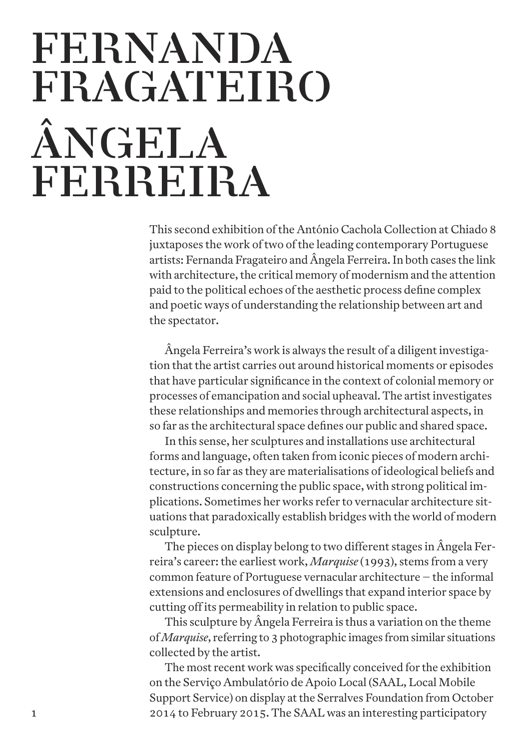## **FERNANDA FRAGATEIRO ÂNGELA FERREIRA**

**This second exhibition ofthe António Cachola Collection at Chiado 8 juxtaposes the work oftwo ofthe leading contemporary Portuguese artists: Fernanda Fragateiro and Ângela Ferreira.In both cases the link with** architecture, the critical memory of modernism and the attention **paid to the political echoes ofthe aesthetic process define complex and poetic ways of understanding the relationship between art and the spectator.**

**Ângela Ferreira's work is always the result of a diligentinvestigation thatthe artist carries out around historical moments or episodes that have particular significance in the context of colonial memory or processes of emancipation and social upheaval. The artistinvestigates these relationships and memories through architectural aspects, in so far as the architectural space defines our public and shared space.**

**In this sense, her sculptures and installations use architectural forms and language, often taken from iconic pieces of modern architecture, in so far as they are materialisations of ideological beliefs and constructions concerning the public space, with strong political implications. Sometimes her works refer to vernacular architecture situations that paradoxically establish bridges with the world of modern sculpture.**

**The pieces on display belong to two different stages in Ângela Ferreira's career:the earliest work,** *Marquise* **(1993), stems from a very common feature of Portuguese vernacular architecture – the informal extensions and enclosures of dwellings that expand interior space by cutting off its permeability in relation to public space.**

**This sculpture by Ângela Ferreira is thus a variation on the theme of***Marquise***, referring to 3 photographic images from similar situations collected by the artist.**

**The most recent work was specifically conceived for the exhibition on the Serviço Ambulatório de Apoio Local (SAAL, Local Mobile Support Service) on display atthe Serralves Foundation from October 2014 to February 2015. The SAAL was an interesting participatory**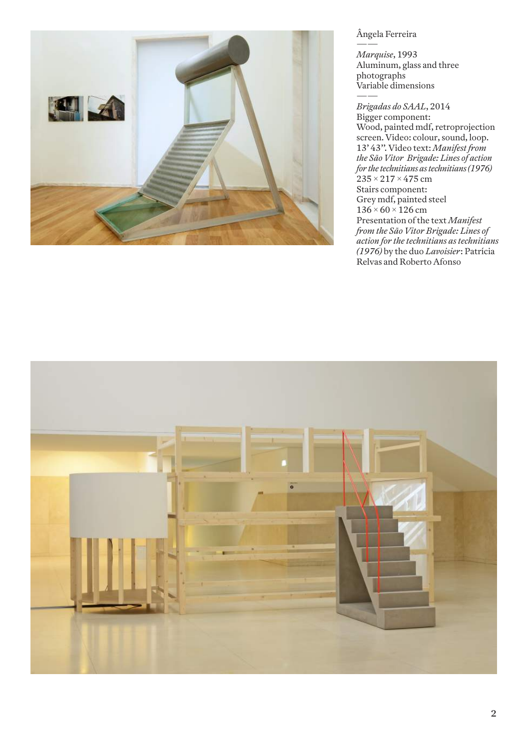

#### **Ângela Ferreira**

**——** *Marquise***, 1993 Aluminum, glass and three photographs Variable dimensions**

**——** *Brigadas do SAAL***, 2014 Bigger component: Wood, painted mdf, retroprojection screen. Video: colour, sound, loop. 13' 43''. Video text:** *Manifest from the São Vitor Brigade: Lines of action for the technitians astechnitians(1976)* **235 × 217 × 475 cm Stairs component: Grey mdf, painted steel 136 × 60 × 126 cm Presentation ofthe text** *Manifest from the São Vitor Brigade: Lines of action for the technitians as technitians (1976)* **by the duo** *Lavoisier***: Patrícia Relvas and Roberto Afonso**

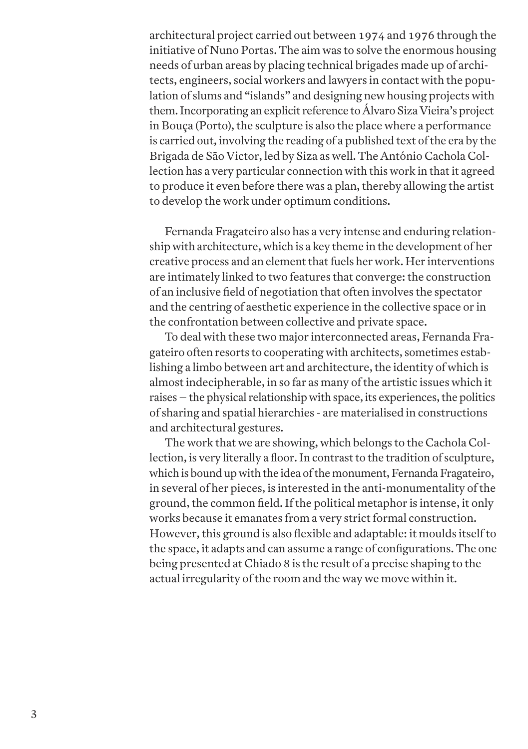**architectural project carried out between 1974 and 1976 through the initiative of Nuno Portas. The aim was to solve the enormous housing needs of urban areas by placing technical brigades made up of architects, engineers, social workers and lawyers in contact with the population of slums and "islands" and designing new housing projects with them.Incorporating an explicit reference to Álvaro Siza Vieira's project in Bouça (Porto),the sculpture is also the place where a performance is carried out, involving the reading of a published text ofthe era by the Brigada de São Victor, led by Siza as well. The António Cachola Collection has a very particular connection with this work in thatit agreed to produce it even before there was a plan,thereby allowing the artist to develop the work under optimum conditions.**

**Fernanda Fragateiro also has a very intense and enduring relationship with architecture, which is a key theme in the development of her creative process and an elementthatfuels her work. Her interventions are intimately linked to two features that converge:the construction of an inclusive field of negotiation that often involves the spectator and the centring of aesthetic experience in the collective space or in the confrontation between collective and private space.**

**To deal with these two major interconnected areas, Fernanda Fragateiro often resorts to cooperating with architects, sometimes establishing a limbo between art and architecture,the identity of which is almostindecipherable, in so far as many ofthe artistic issues which it raises – the physical relationship with space, its experiences,the politics of sharing and spatial hierarchies - are materialised in constructions and architectural gestures.**

**The work that we are showing, which belongs to the Cachola Collection, is very literally a floor.In contrastto the tradition of sculpture, which is bound up with the idea ofthe monument,FernandaFragateiro, in several of her pieces, is interested in the anti-monumentality ofthe ground,the common field.Ifthe political metaphor is intense, it only works because it emanates from a very strictformal construction. However,this ground is also flexible and adaptable: it moulds itselfto the space, it adapts and can assume a range of configurations. The one being presented at Chiado 8 is the result of a precise shaping to the actual irregularity ofthe room and the way we move within it.**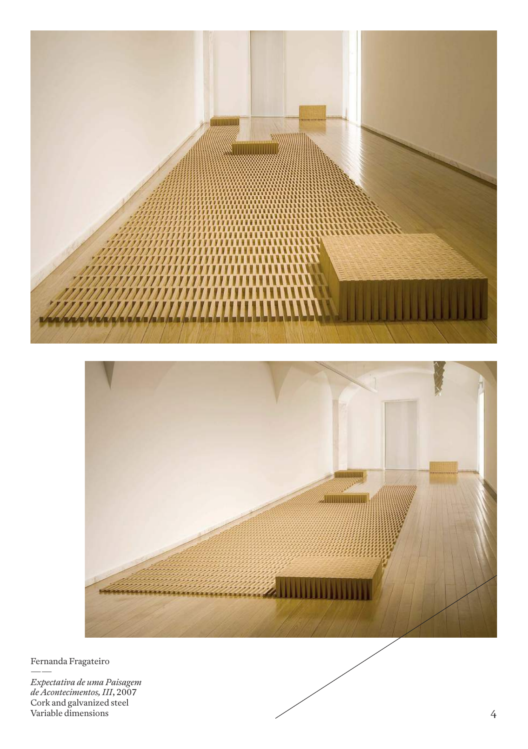



Fernanda Fragateiro

Expectativa de uma Paisagem<br>de Acontecimentos, III, 2007<br>Cork and galvanized steel<br>Variable dimensions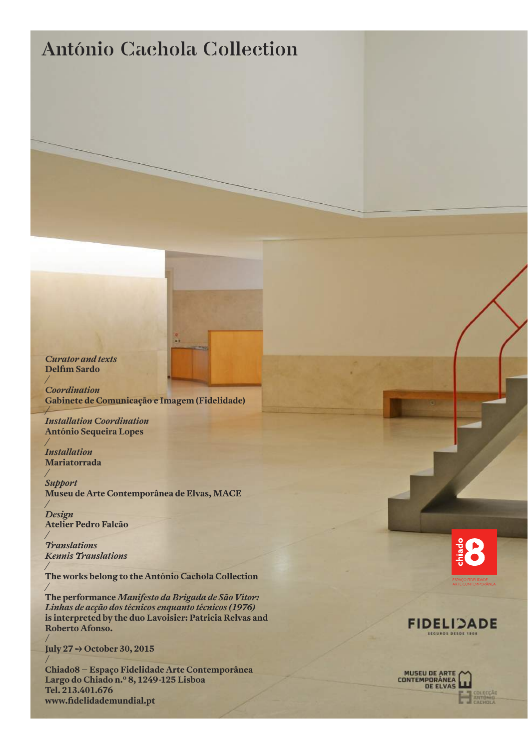### **António Cachola Collection**

*Curator and texts* **Delfim Sardo**

*/*

*/*

*/*

*/*

*/*

*/*

*/*

**/**

**/**

*Coordination* **Gabinete de Comunicação e Imagem (Fidelidade)**

*Installation Coordination* **António Sequeira Lopes**

*Installation* **Mariatorrada**

*Support* **Museu de Arte Contemporânea de Elvas, MACE**

*Design* **Atelier Pedro Falcão**

*Translations Kennis Translations*

**The works belong to the António Cachola Collection**

*/* **The performance** *Manifesto da Brigada de São Vítor: Linhas de acção dos técnicos enquanto técnicos (1976)* **is interpreted by the duo Lavoisier: Patricia Relvas and Roberto Afonso.**

**July 27 -> October 30, 2015**

**Chiado8 – Espaço Fidelidade Arte Contemporânea Largo do Chiado n.º 8, 1249-125 Lisboa Tel. 213.401.676 www.fidelidademundial.pt**





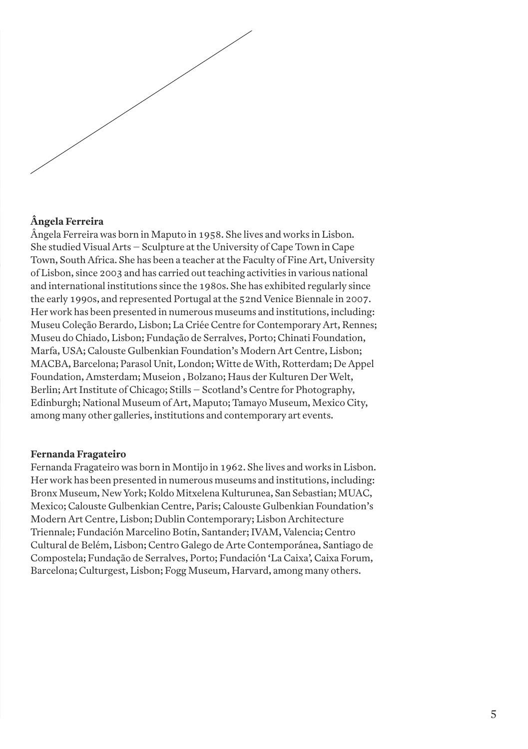

#### **Ângela Ferreira**

**Ângela Ferreira was born in Maputo in 1958. She lives and works in Lisbon. She studied Visual Arts – Sculpture atthe University of Cape Town in Cape Town, South Africa. She has been a teacher atthe Faculty of Fine Art, University of Lisbon, since 2003 and has carried outteaching activities in various national and international institutions since the 1980s. She has exhibited regularly since the early 1990s, and represented Portugal atthe 52nd Venice Biennale in 2007. Her work has been presented in numerous museums and institutions, including: Museu Coleção Berardo, Lisbon; La Criée Centre for Contemporary Art, Rennes; Museu do Chiado, Lisbon; Fundação de Serralves, Porto; Chinati Foundation, Marfa, USA; Calouste Gulbenkian Foundation's Modern Art Centre, Lisbon; MACBA, Barcelona; Parasol Unit, London;Witte deWith, Rotterdam; De Appel Foundation, Amsterdam; Museion , Bolzano; Haus der Kulturen DerWelt, Berlin; ArtInstitute of Chicago; Stills – Scotland's Centre for Photography, Edinburgh; National Museum of Art, Maputo; Tamayo Museum, Mexico City, among many other galleries, institutions and contemporary art events.**

#### **Fernanda Fragateiro**

**Fernanda Fragateiro was born in Montijo in 1962. She lives and works in Lisbon. Her work has been presented in numerous museums and institutions, including: Bronx Museum, New York; Koldo Mitxelena Kulturunea, San Sebastian; MUAC, Mexico; Calouste Gulbenkian Centre, Paris; Calouste Gulbenkian Foundation's Modern Art Centre, Lisbon; Dublin Contemporary; Lisbon Architecture Triennale; Fundación Marcelino Botín, Santander;IVAM, Valencia; Centro Cultural de Belém, Lisbon; Centro Galego de Arte Contemporánea, Santiago de Compostela; Fundação de Serralves, Porto; Fundación 'La Caixa', Caixa Forum, Barcelona; Culturgest, Lisbon; Fogg Museum, Harvard, among many others.**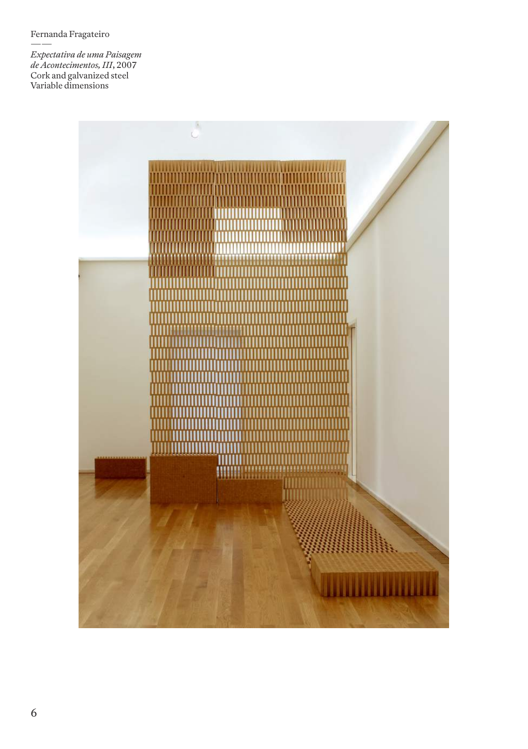**Fernanda Fragateiro**

**——** *Expectativa de uma Paisagem de Acontecimentos,III***, 2007 Cork and galvanized steel Variable dimensions**